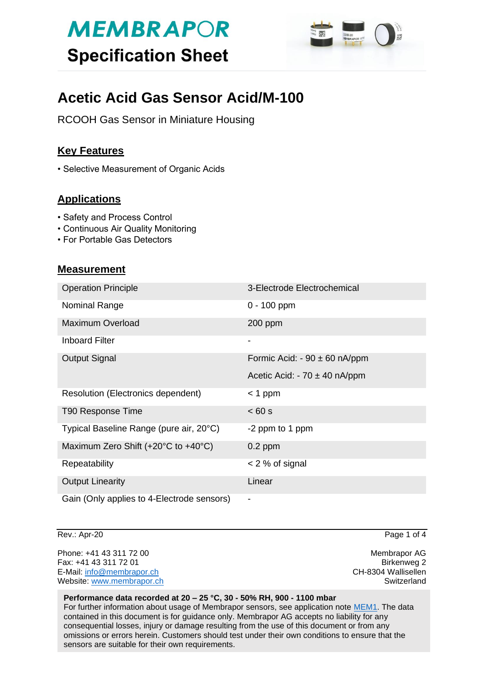# **MEMBRAPOR Specification Sheet**



# **Acetic Acid Gas Sensor Acid/M-100**

RCOOH Gas Sensor in Miniature Housing

### **Key Features**

• Selective Measurement of Organic Acids

### **Applications**

- Safety and Process Control
- Continuous Air Quality Monitoring
- For Portable Gas Detectors

### **Measurement**

| <b>Operation Principle</b>                                   | 3-Electrode Electrochemical       |
|--------------------------------------------------------------|-----------------------------------|
| Nominal Range                                                | $0 - 100$ ppm                     |
| <b>Maximum Overload</b>                                      | $200$ ppm                         |
| <b>Inboard Filter</b>                                        | ۰                                 |
| <b>Output Signal</b>                                         | Formic Acid: - $90 \pm 60$ nA/ppm |
|                                                              | Acetic Acid: $-70 \pm 40$ nA/ppm  |
| Resolution (Electronics dependent)                           | $<$ 1 ppm                         |
| T90 Response Time                                            | < 60 s                            |
| Typical Baseline Range (pure air, 20°C)                      | -2 ppm to 1 ppm                   |
| Maximum Zero Shift $(+20^{\circ}C \text{ to } +40^{\circ}C)$ | $0.2$ ppm                         |
| Repeatability                                                | $<$ 2 % of signal                 |
| <b>Output Linearity</b>                                      | Linear                            |
| Gain (Only applies to 4-Electrode sensors)                   | -                                 |

Rev.: Apr-20 Page 1 of 4

Phone: +41 43 311 72 00 **Membrapor AG** Fax: +41 43 311 72 01 Birkenweg 2 E-Mail: [info@membrapor.ch](mailto:info@membrapor.ch) CH-8304 Wallisellen Website: [www.membrapor.ch](http://www.membrapor.ch/) Switzerland Switzerland Switzerland

#### **Performance data recorded at 20 – 25 °C, 30 - 50% RH, 900 - 1100 mbar**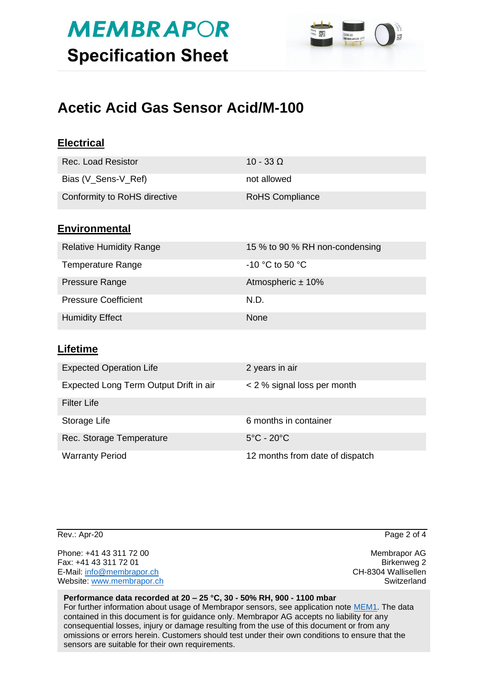# **MEMBRAPOR Specification Sheet**



# **Acetic Acid Gas Sensor Acid/M-100**

| <b>Electrical</b>                      |                                 |
|----------------------------------------|---------------------------------|
| <b>Rec. Load Resistor</b>              | $10 - 33 \Omega$                |
| Bias (V_Sens-V_Ref)                    | not allowed                     |
| Conformity to RoHS directive           | <b>RoHS Compliance</b>          |
| <b>Environmental</b>                   |                                 |
| <b>Relative Humidity Range</b>         | 15 % to 90 % RH non-condensing  |
| <b>Temperature Range</b>               | -10 °C to 50 °C                 |
| Pressure Range                         | Atmospheric ± 10%               |
| <b>Pressure Coefficient</b>            | N.D.                            |
| <b>Humidity Effect</b>                 | None                            |
| <b>Lifetime</b>                        |                                 |
| <b>Expected Operation Life</b>         | 2 years in air                  |
| Expected Long Term Output Drift in air | < 2 % signal loss per month     |
| <b>Filter Life</b>                     |                                 |
| Storage Life                           | 6 months in container           |
| Rec. Storage Temperature               | $5^{\circ}$ C - 20 $^{\circ}$ C |
| <b>Warranty Period</b>                 | 12 months from date of dispatch |

Rev.: Apr-20 Page 2 of 4

Phone: +41 43 311 72 00 **Membrapor AG** Fax: +41 43 311 72 01 Birkenweg 2 E-Mail: [info@membrapor.ch](mailto:info@membrapor.ch) CH-8304 Wallisellen Website: [www.membrapor.ch](http://www.membrapor.ch/) Switzerland Switzerland Switzerland

#### **Performance data recorded at 20 – 25 °C, 30 - 50% RH, 900 - 1100 mbar**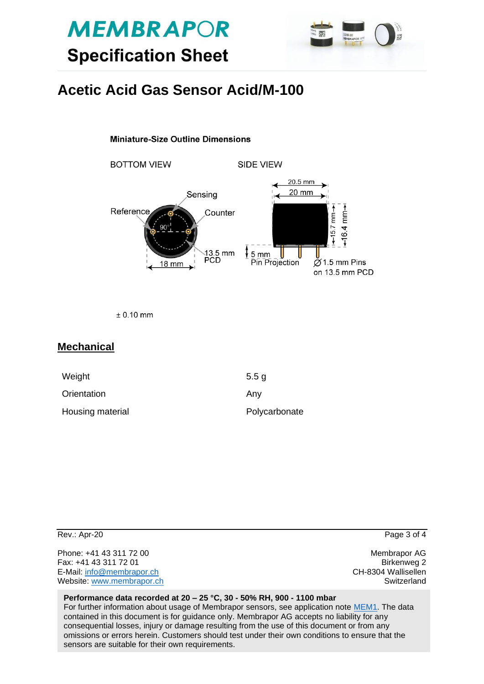



## **Acetic Acid Gas Sensor Acid/M-100**

#### **Miniature-Size Outline Dimensions**

**BOTTOM VIEW SIDE VIEW** 20.5 mm 20 mm Sensing  $-16.4$  mm $-$ Reference  $-15.7$  mm $\rightarrow$ Counter 13.5 mm  $5<sub>mm</sub>$ U  $\overline{\phantom{a}}$ **PCD** Pin Projection  $\check{\varnothing}$  1.5 mm Pins **18 mm** on 13.5 mm PCD

 $± 0.10$  mm

#### **Mechanical**

| Weight           | 5.5 <sub>q</sub> |
|------------------|------------------|
| Orientation      | Anv              |
| Housing material | Polycarbonate    |

| Rev.: Apr-20                                                                                               | Page 3 of 4                                                       |
|------------------------------------------------------------------------------------------------------------|-------------------------------------------------------------------|
| Phone: +41 43 311 72 00<br>Fax: +41 43 311 72 01<br>E-Mail: info@membrapor.ch<br>Website: www.membrapor.ch | Membrapor AG<br>Birkenweg 2<br>CH-8304 Wallisellen<br>Switzerland |
| Performance data recorded at 20 - 25 °C, 30 - 50% RH, 900 - 1100 mbar                                      |                                                                   |